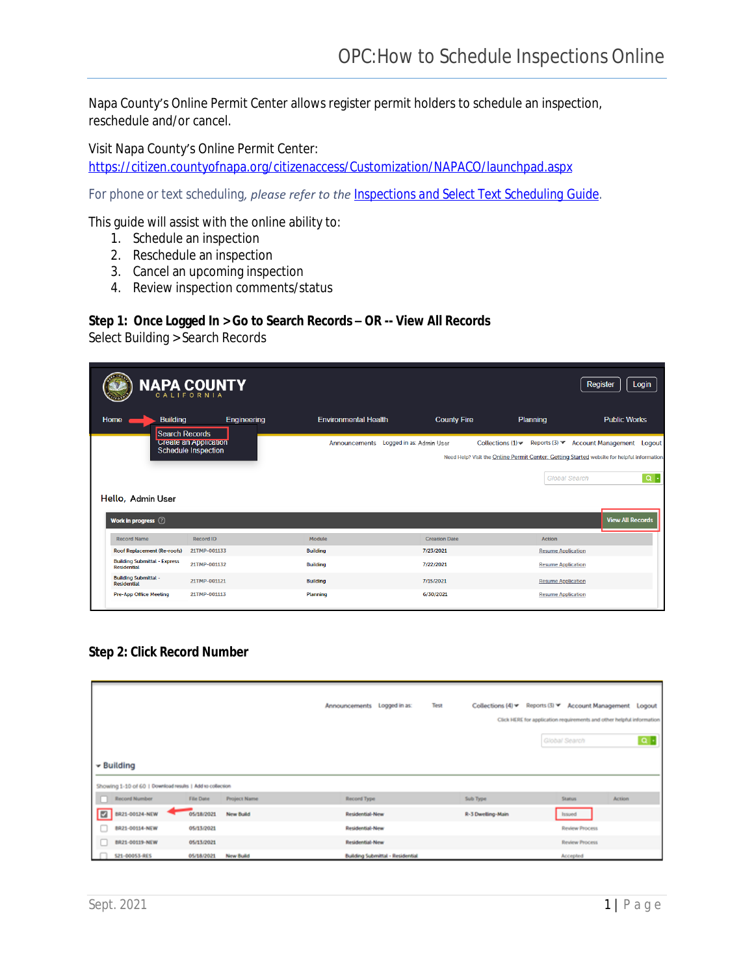Napa County's Online Permit Center allows register permit holders to schedule an inspection, reschedule and/or cancel.

Visit Napa County's Online Permit Center: <https://citizen.countyofnapa.org/citizenaccess/Customization/NAPACO/launchpad.aspx>

*For phone or text scheduling, please refer to the [Inspections and Select Text Scheduling Guide.](https://www.countyofnapa.org/DocumentCenter/View/16714/IVR-Inspections-and-Select-Text-Guide)*

This guide will assist with the online ability to:

- 1. Schedule an inspection
- 2. Reschedule an inspection
- 3. Cancel an upcoming inspection
- 4. Review inspection comments/status

#### **Step 1: Once Logged In > Go to Search Records – OR -- View All Records**

Select Building > Search Records

|                                                           | <b>NAPA COUNTY</b><br>CALIFORNIA                    |                                        |                      |                                                                                                                                  | Login<br><b>Register</b>         |
|-----------------------------------------------------------|-----------------------------------------------------|----------------------------------------|----------------------|----------------------------------------------------------------------------------------------------------------------------------|----------------------------------|
| Home<br><b>Building</b>                                   | Engineering                                         | <b>Environmental Health</b>            | <b>County Fire</b>   | Planning                                                                                                                         | <b>Public Works</b>              |
| <b>Search Records</b>                                     | <b>Create an Application</b><br>Schedule Inspection | Announcements Logged in as: Admin User |                      | Reports $(3)$<br>Collections $(1)$<br>Need Help? Visit the Online Permit Center: Getting Started website for helpful information | <b>Account Management</b> Logout |
|                                                           |                                                     |                                        |                      |                                                                                                                                  |                                  |
| Hello, Admin User                                         |                                                     |                                        |                      | <b>Global Search</b>                                                                                                             | $Q +$                            |
| Work in progress (2)                                      |                                                     |                                        |                      |                                                                                                                                  |                                  |
| <b>Record Name</b>                                        | Record ID                                           | Module                                 | <b>Creation Date</b> | Action                                                                                                                           | <b>View All Records</b>          |
| Roof Replacement (Re-roofs)                               | 21TMP-001133                                        | <b>Building</b>                        | 7/23/2021            | <b>Resume Application</b>                                                                                                        |                                  |
| <b>Building Submittal - Express</b><br><b>Residential</b> | 21TMP-001132                                        | <b>Building</b>                        | 7/22/2021            | <b>Resume Application</b>                                                                                                        |                                  |
| <b>Building Submittal -</b><br><b>Residential</b>         | 21TMP-001121                                        | <b>Building</b>                        | 7/15/2021            | <b>Resume Application</b>                                                                                                        |                                  |

**Step 2: Click Record Number**

|                                                           |            |                  | Announcements Logged in as:             | Test | Collections (4) * Reports (3) * Account Management Logout |               |                                                                       |               |
|-----------------------------------------------------------|------------|------------------|-----------------------------------------|------|-----------------------------------------------------------|---------------|-----------------------------------------------------------------------|---------------|
|                                                           |            |                  |                                         |      |                                                           |               | Click HERE for application requirements and other helpful information |               |
|                                                           |            |                  |                                         |      |                                                           | Global Search |                                                                       | $\alpha$ .    |
| $\blacktriangleright$ Building                            |            |                  |                                         |      |                                                           |               |                                                                       |               |
| Showing 1-10 of 60   Download results   Add to collection |            |                  |                                         |      |                                                           |               |                                                                       |               |
| Record Number                                             | File Date  | Project Name     | Record Type                             |      | Sub Type                                                  |               | Status                                                                | <b>Action</b> |
| $\blacksquare$<br>BR21-00124-NEW                          | 05/18/2021 | <b>New Build</b> | Residential-New                         |      | R-3 Dwelling-Main                                         |               | haued                                                                 |               |
| BR21-00114-NEW                                            | 05/13/2021 |                  | Residential-New                         |      |                                                           |               | <b>Review Process</b>                                                 |               |
| BR21-00119-NEW                                            | 05/13/2021 |                  | Residential-New                         |      |                                                           |               | <b>Review Process</b>                                                 |               |
| S21-00053-RES                                             | 05/18/2021 | New Build        | <b>Building Submittal - Residential</b> |      |                                                           |               | Accepted                                                              |               |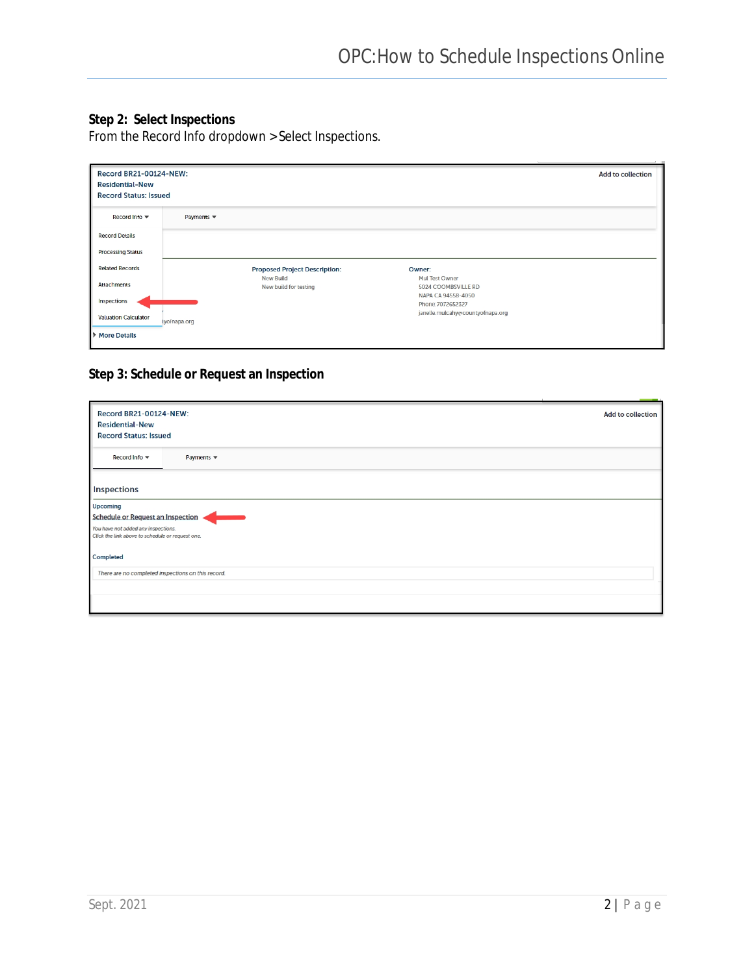# **Step 2: Select Inspections**

From the Record Info dropdown > Select Inspections.

| <b>Record BR21-00124-NEW:</b><br><b>Residential-New</b><br><b>Record Status: Issued</b> |                               |                                           |                                         | <b>Add to collection</b> |
|-----------------------------------------------------------------------------------------|-------------------------------|-------------------------------------------|-----------------------------------------|--------------------------|
| Record Info ▼                                                                           | Payments $\blacktriangledown$ |                                           |                                         |                          |
| <b>Record Details</b>                                                                   |                               |                                           |                                         |                          |
| <b>Processing Status</b>                                                                |                               |                                           |                                         |                          |
| <b>Related Records</b>                                                                  |                               | <b>Proposed Project Description:</b>      | Owner:                                  |                          |
| <b>Attachments</b>                                                                      |                               | <b>New Build</b><br>New build for testing | Mul Test Owner<br>5024 COOMBSVILLE RD   |                          |
| Inspections                                                                             |                               |                                           | NAPA CA 94558-4050<br>Phone: 7072652327 |                          |
| <b>Valuation Calculator</b>                                                             | tyofnapa.org                  |                                           | janelle.mulcahy@countyofnapa.org        |                          |
| <b>More Details</b>                                                                     |                               |                                           |                                         |                          |

# **Step 3: Schedule or Request an Inspection**

| <b>Record BR21-00124-NEW:</b><br><b>Residential-New</b><br><b>Record Status: Issued</b>     | <b>Add to collection</b> |  |  |  |  |  |  |  |
|---------------------------------------------------------------------------------------------|--------------------------|--|--|--|--|--|--|--|
| Record Info ▼<br>Payments $\blacktriangledown$                                              |                          |  |  |  |  |  |  |  |
| Inspections                                                                                 |                          |  |  |  |  |  |  |  |
| Upcoming<br><b>Schedule or Request an Inspection</b><br>You have not added any inspections. |                          |  |  |  |  |  |  |  |
| Click the link above to schedule or request one.<br>Completed                               |                          |  |  |  |  |  |  |  |
| There are no completed inspections on this record.                                          |                          |  |  |  |  |  |  |  |
|                                                                                             |                          |  |  |  |  |  |  |  |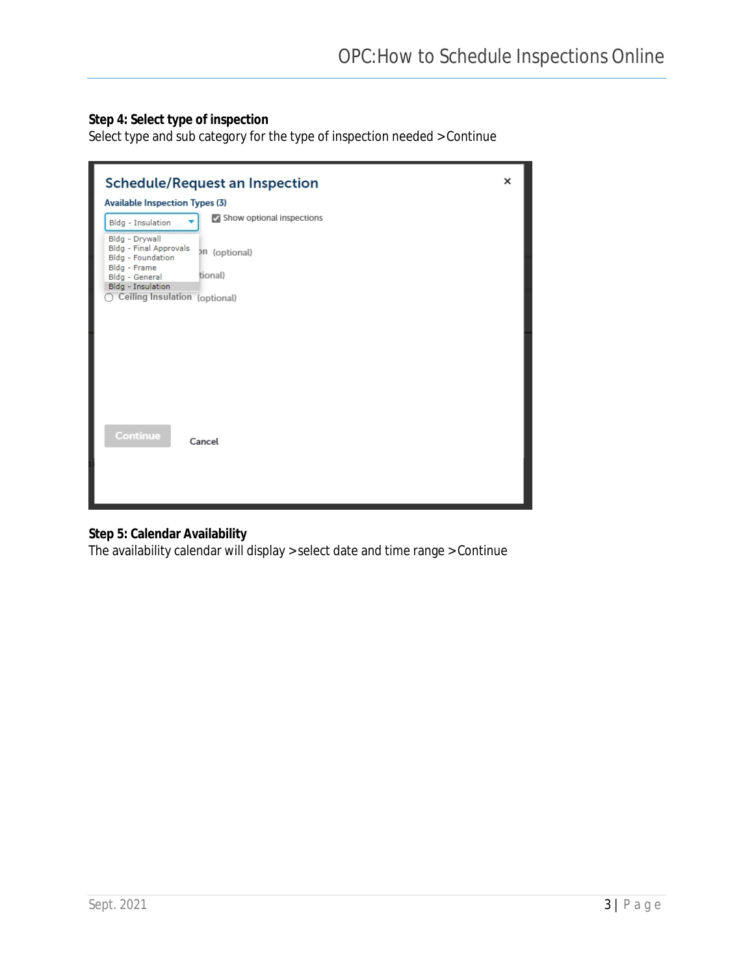# **Step 4: Select type of inspection**

Select type and sub category for the type of inspection needed > Continue

| <b>Schedule/Request an Inspection</b><br><b>Available Inspection Types (3)</b>                                                                   | × |
|--------------------------------------------------------------------------------------------------------------------------------------------------|---|
| Show optional inspections<br>Bldg - Insulation                                                                                                   |   |
| Bldg - Drywall<br>Bldg - Final Approvals<br>on (optional)<br>Bldg - Foundation<br>Bldg - Frame<br>tional)<br>Bldg - General<br>Bldg - Insulation |   |
| Ceiling Insulation (optional)                                                                                                                    |   |
|                                                                                                                                                  |   |
|                                                                                                                                                  |   |
|                                                                                                                                                  |   |
|                                                                                                                                                  |   |
| Continue<br>Cancel                                                                                                                               |   |
|                                                                                                                                                  |   |
|                                                                                                                                                  |   |

## **Step 5: Calendar Availability**

The availability calendar will display > select date and time range > Continue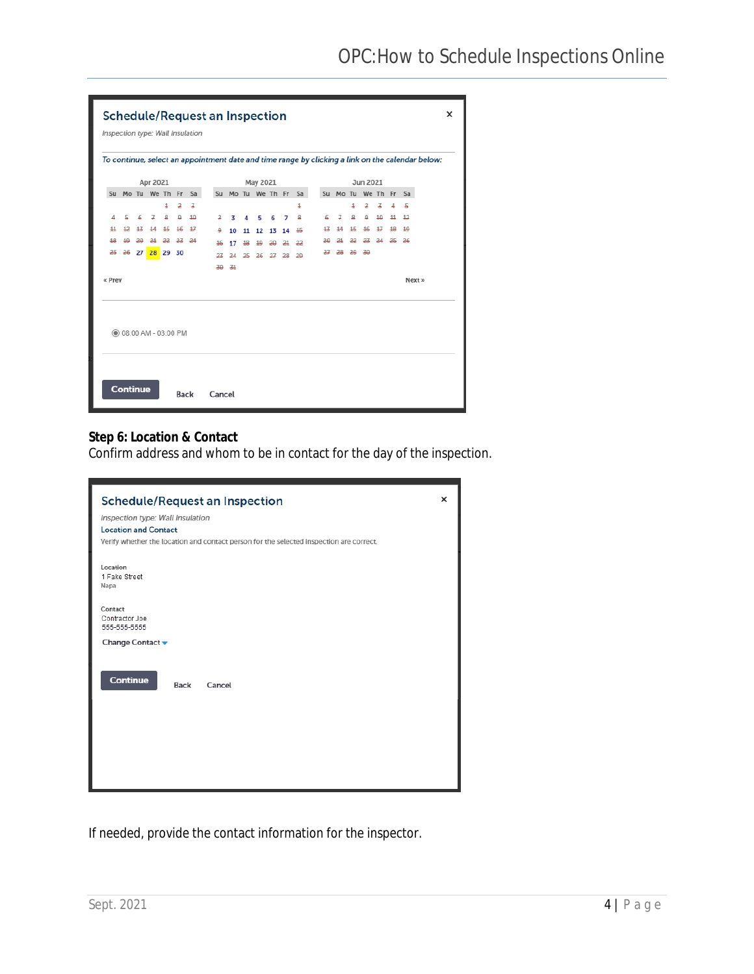| <b>Schedule/Request an Inspection</b> |                              |    |                      |    |          |                                  |  |        |    |    |          |    |    |                      |    |                      |    |          |    |    |    |                                                                                                  | × |
|---------------------------------------|------------------------------|----|----------------------|----|----------|----------------------------------|--|--------|----|----|----------|----|----|----------------------|----|----------------------|----|----------|----|----|----|--------------------------------------------------------------------------------------------------|---|
|                                       |                              |    |                      |    |          | Inspection type: Wall Insulation |  |        |    |    |          |    |    |                      |    |                      |    |          |    |    |    |                                                                                                  |   |
|                                       |                              |    |                      |    |          |                                  |  |        |    |    |          |    |    |                      |    |                      |    |          |    |    |    | To continue, select an appointment date and time range by clicking a link on the calendar below: |   |
|                                       |                              |    | Apr 2021             |    |          |                                  |  |        |    |    | May 2021 |    |    |                      |    |                      |    | Jun 2021 |    |    |    |                                                                                                  |   |
|                                       |                              |    | Su Mo Tu We Th Fr Sa |    |          |                                  |  |        |    |    |          |    |    | Su Mo Tu We Th Fr Sa |    | Su Mo Tu We Th Fr Sa |    |          |    |    |    |                                                                                                  |   |
|                                       |                              |    |                      | 1  | 2        | 3                                |  |        |    |    |          |    |    | 1                    |    |                      | 1  | 2        | 7  | 4  | 5  |                                                                                                  |   |
|                                       | 5                            |    | ¥                    | 且  | $\Omega$ | 10                               |  | 2      | 3  | л  | 5        | 6  | 7  | 요                    | 6  | ¥                    | 요  | $\Omega$ | 10 | 11 | 12 |                                                                                                  |   |
|                                       | 12                           | 17 |                      | 15 | 16       | 17                               |  | ₽      | 10 | 11 | 12       | 13 | 14 | 15                   |    |                      | 15 | 16       | 17 | 12 | 10 |                                                                                                  |   |
| 12                                    | 10                           | 20 | 21                   | 22 | 23       | 24                               |  | 16     | 17 | 18 | 10       | 20 | 21 | 22                   |    |                      |    | 23       | 24 | 25 | 26 |                                                                                                  |   |
| 25                                    | 26                           |    | 27 28 29 30          |    |          |                                  |  | 27     | 24 | 25 | 26       | 27 | 28 | 20                   | 27 | 28                   | 20 | 30       |    |    |    |                                                                                                  |   |
|                                       |                              |    |                      |    |          |                                  |  | 30     | 31 |    |          |    |    |                      |    |                      |    |          |    |    |    |                                                                                                  |   |
| « Prev                                |                              |    |                      |    |          |                                  |  |        |    |    |          |    |    |                      |    |                      |    |          |    |    |    | Next »                                                                                           |   |
|                                       | <b>◎ 08:00 AM - 03:00 PM</b> |    |                      |    |          |                                  |  |        |    |    |          |    |    |                      |    |                      |    |          |    |    |    |                                                                                                  |   |
|                                       | <b>Continue</b>              |    |                      |    | Back     |                                  |  | Cancel |    |    |          |    |    |                      |    |                      |    |          |    |    |    |                                                                                                  |   |

## **Step 6: Location & Contact**

Confirm address and whom to be in contact for the day of the inspection.

| ×<br><b>Schedule/Request an Inspection</b><br>Inspection type: Wall Insulation          |  |  |  |  |  |  |  |
|-----------------------------------------------------------------------------------------|--|--|--|--|--|--|--|
| <b>Location and Contact</b>                                                             |  |  |  |  |  |  |  |
| Verify whether the location and contact person for the selected inspection are correct. |  |  |  |  |  |  |  |
|                                                                                         |  |  |  |  |  |  |  |
| Location<br>1 Fake Street<br>Napa                                                       |  |  |  |  |  |  |  |
| Contact                                                                                 |  |  |  |  |  |  |  |
| Contractor Joe<br>555-555-5555                                                          |  |  |  |  |  |  |  |
| Change Contact v                                                                        |  |  |  |  |  |  |  |
| Continue<br>Back<br>Cancel                                                              |  |  |  |  |  |  |  |

If needed, provide the contact information for the inspector.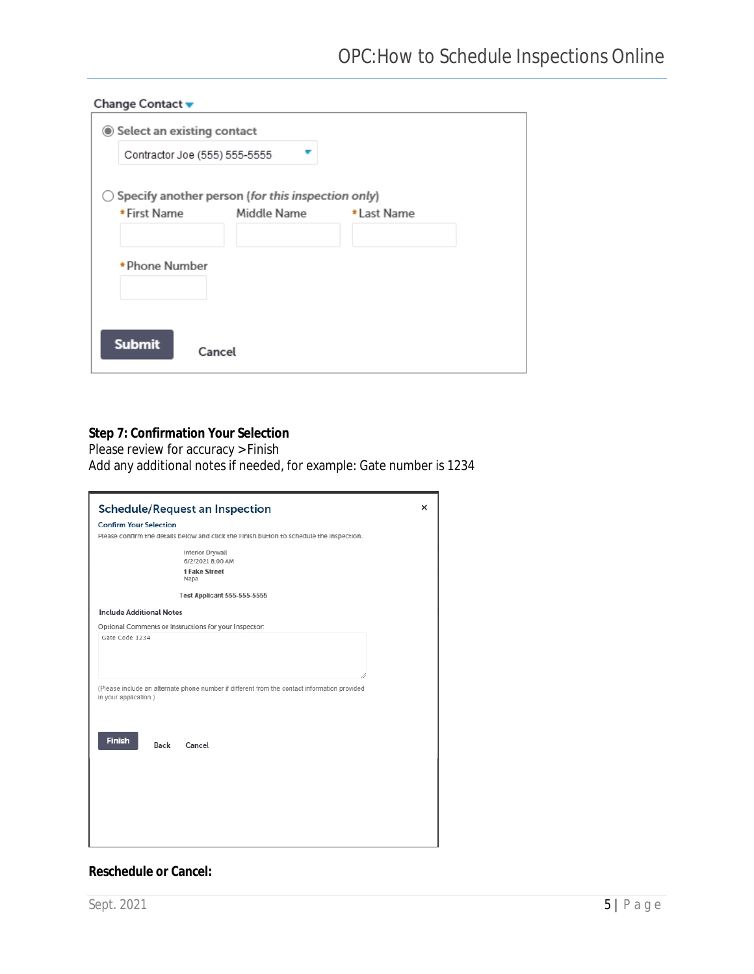| Select an existing contact<br>Contractor Joe (555) 555-5555 |                                                   |             |
|-------------------------------------------------------------|---------------------------------------------------|-------------|
|                                                             | Specify another person (for this inspection only) |             |
| * First Name                                                | Middle Name                                       | * Last Name |
|                                                             |                                                   |             |
| * Phone Number                                              |                                                   |             |
| <b>Submit</b>                                               | Cancel                                            |             |

### **Step 7: Confirmation Your Selection**

Please review for accuracy > Finish

Add any additional notes if needed, for example: Gate number is 1234

| <b>Confirm Your Selection</b><br>Please confirm the details below and click the Finish button to schedule the inspection.<br><b>Interior Drywall</b><br>6/2/2021 8:00 AM<br>1 Fake Street<br>Napa<br><b>Test Applicant 555-555-5555</b><br><b>Include Additional Notes</b><br>Optional Comments or Instructions for your Inspector:<br>Gate Code 1234<br>(Please include an alternate phone number if different from the contact information provided<br>in your application.) |
|--------------------------------------------------------------------------------------------------------------------------------------------------------------------------------------------------------------------------------------------------------------------------------------------------------------------------------------------------------------------------------------------------------------------------------------------------------------------------------|
|                                                                                                                                                                                                                                                                                                                                                                                                                                                                                |
|                                                                                                                                                                                                                                                                                                                                                                                                                                                                                |
|                                                                                                                                                                                                                                                                                                                                                                                                                                                                                |
|                                                                                                                                                                                                                                                                                                                                                                                                                                                                                |
|                                                                                                                                                                                                                                                                                                                                                                                                                                                                                |
|                                                                                                                                                                                                                                                                                                                                                                                                                                                                                |
|                                                                                                                                                                                                                                                                                                                                                                                                                                                                                |
|                                                                                                                                                                                                                                                                                                                                                                                                                                                                                |
|                                                                                                                                                                                                                                                                                                                                                                                                                                                                                |
|                                                                                                                                                                                                                                                                                                                                                                                                                                                                                |
|                                                                                                                                                                                                                                                                                                                                                                                                                                                                                |
| <b>Finish</b><br>Cancel<br>Back                                                                                                                                                                                                                                                                                                                                                                                                                                                |
|                                                                                                                                                                                                                                                                                                                                                                                                                                                                                |
|                                                                                                                                                                                                                                                                                                                                                                                                                                                                                |
|                                                                                                                                                                                                                                                                                                                                                                                                                                                                                |
|                                                                                                                                                                                                                                                                                                                                                                                                                                                                                |
|                                                                                                                                                                                                                                                                                                                                                                                                                                                                                |
|                                                                                                                                                                                                                                                                                                                                                                                                                                                                                |

### **Reschedule or Cancel:**